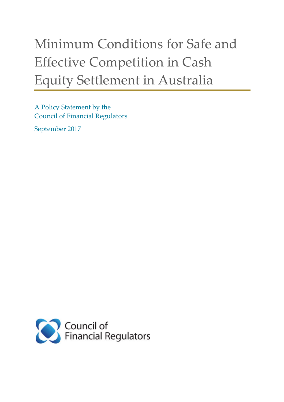# Minimum Conditions for Safe and Effective Competition in Cash Equity Settlement in Australia

A Policy Statement by the Council of Financial Regulators

September 2017

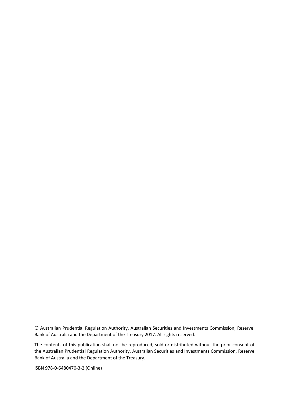© Australian Prudential Regulation Authority, Australian Securities and Investments Commission, Reserve Bank of Australia and the Department of the Treasury 2017. All rights reserved.

The contents of this publication shall not be reproduced, sold or distributed without the prior consent of the Australian Prudential Regulation Authority, Australian Securities and Investments Commission, Reserve Bank of Australia and the Department of the Treasury.

ISBN 978-0-6480470-3-2 (Online)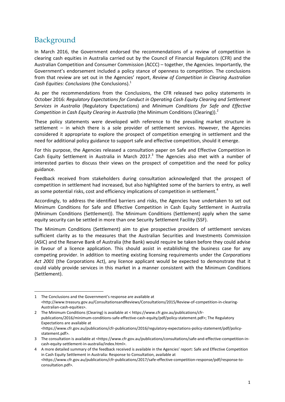# Background

 $\overline{a}$ 

In March 2016, the Government endorsed the recommendations of a review of competition in clearing cash equities in Australia carried out by the Council of Financial Regulators (CFR) and the Australian Competition and Consumer Commission (ACCC) – together, the Agencies. Importantly, the Government's endorsement included a policy stance of openness to competition. The conclusions from that review are set out in the Agencies' report, *Review of Competition in Clearing Australian Cash Equities: Conclusions (the Conclusions).*<sup>1</sup>

As per the recommendations from the Conclusions, the CFR released two policy statements in October 2016: *Regulatory Expectations for Conduct in Operating Cash Equity Clearing and Settlement Services in Australia* (Regulatory Expectations) and *Minimum Conditions for Safe and Effective Competition in Cash Equity Clearing in Australia* (the Minimum Conditions (Clearing)).2

These policy statements were developed with reference to the prevailing market structure in settlement – in which there is a sole provider of settlement services. However, the Agencies considered it appropriate to explore the prospect of competition emerging in settlement and the need for additional policy guidance to support safe and effective competition, should it emerge.

For this purpose, the Agencies released a consultation paper on Safe and Effective Competition in Cash Equity Settlement in Australia in March 2017.<sup>3</sup> The Agencies also met with a number of interested parties to discuss their views on the prospect of competition and the need for policy guidance.

Feedback received from stakeholders during consultation acknowledged that the prospect of competition in settlement had increased, but also highlighted some of the barriers to entry, as well as some potential risks, cost and efficiency implications of competition in settlement.<sup>4</sup>

Accordingly, to address the identified barriers and risks, the Agencies have undertaken to set out Minimum Conditions for Safe and Effective Competition in Cash Equity Settlement in Australia (Minimum Conditions (Settlement)). The Minimum Conditions (Settlement) apply when the same equity security can be settled in more than one Security Settlement Facility (SSF).

The Minimum Conditions (Settlement) aim to give prospective providers of settlement services sufficient clarity as to the measures that the Australian Securities and Investments Commission (ASIC) and the Reserve Bank of Australia (the Bank) would require be taken before they could advise in favour of a licence application. This should assist in establishing the business case for any competing provider. In addition to meeting existing licensing requirements under the *Corporations Act 2001* (the Corporations Act), any licence applicant would be expected to demonstrate that it could viably provide services in this market in a manner consistent with the Minimum Conditions (Settlement).

2 The Minimum Conditions (Clearing) is available at < https://www.cfr.gov.au/publications/cfrpublications/2016/minimum-conditions-safe-effective-cash-equity/pdf/policy-statement.pdf>; The Regulatory Expectations are available at <https://www.cfr.gov.au/publications/cfr-publications/2016/regulatory-expectations-policy-statement/pdf/policystatement.pdf>.

<sup>1</sup> The Conclusions and the Government's response are available at <http://www.treasury.gov.au/ConsultationsandReviews/Consultations/2015/Review-of-competition-in-clearing-Australian-cash-equities>.

<sup>3</sup> The consultation is available at <https://www.cfr.gov.au/publications/consultations/safe-and-effective-competition-incash-equity-settlement-in-australia/index.html>.

<sup>4</sup> A more detailed summary of the feedback received is available in the Agencies' report: Safe and Effective Competition in Cash Equity Settlement in Australia: Response to Consultation, available at <https://www.cfr.gov.au/publications/cfr-publications/2017/safe-effective-competition-response/pdf/response-toconsultation.pdf>.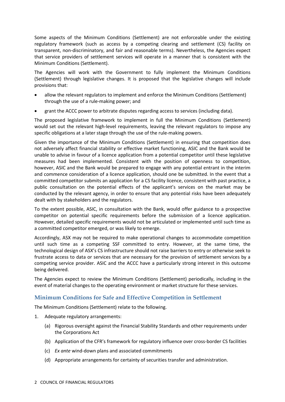Some aspects of the Minimum Conditions (Settlement) are not enforceable under the existing regulatory framework (such as access by a competing clearing and settlement (CS) facility on transparent, non-discriminatory, and fair and reasonable terms). Nevertheless, the Agencies expect that service providers of settlement services will operate in a manner that is consistent with the Minimum Conditions (Settlement).

The Agencies will work with the Government to fully implement the Minimum Conditions (Settlement) through legislative changes. It is proposed that the legislative changes will include provisions that:

- allow the relevant regulators to implement and enforce the Minimum Conditions (Settlement) through the use of a rule-making power; and
- grant the ACCC power to arbitrate disputes regarding access to services (including data).

The proposed legislative framework to implement in full the Minimum Conditions (Settlement) would set out the relevant high-level requirements, leaving the relevant regulators to impose any specific obligations at a later stage through the use of the rule-making powers.

Given the importance of the Minimum Conditions (Settlement) in ensuring that competition does not adversely affect financial stability or effective market functioning, ASIC and the Bank would be unable to advise in favour of a licence application from a potential competitor until these legislative measures had been implemented. Consistent with the position of openness to competition, however, ASIC and the Bank would be prepared to engage with any potential entrant in the interim and commence consideration of a licence application, should one be submitted. In the event that a committed competitor submits an application for a CS facility licence, consistent with past practice, a public consultation on the potential effects of the applicant's services on the market may be conducted by the relevant agency, in order to ensure that any potential risks have been adequately dealt with by stakeholders and the regulators.

To the extent possible, ASIC, in consultation with the Bank, would offer guidance to a prospective competitor on potential specific requirements before the submission of a licence application. However, detailed specific requirements would not be articulated or implemented until such time as a committed competitor emerged, or was likely to emerge.

Accordingly, ASX may not be required to make operational changes to accommodate competition until such time as a competing SSF committed to entry. However, at the same time, the technological design of ASX's CS infrastructure should not raise barriers to entry or otherwise seek to frustrate access to data or services that are necessary for the provision of settlement services by a competing service provider. ASIC and the ACCC have a particularly strong interest in this outcome being delivered.

The Agencies expect to review the Minimum Conditions (Settlement) periodically, including in the event of material changes to the operating environment or market structure for these services.

## **Minimum Conditions for Safe and Effective Competition in Settlement**

The Minimum Conditions (Settlement) relate to the following.

- 1. Adequate regulatory arrangements:
	- (a) Rigorous oversight against the Financial Stability Standards and other requirements under the Corporations Act
	- (b) Application of the CFR's framework for regulatory influence over cross-border CS facilities
	- (c) *Ex ante* wind-down plans and associated commitments
	- (d) Appropriate arrangements for certainty of securities transfer and administration.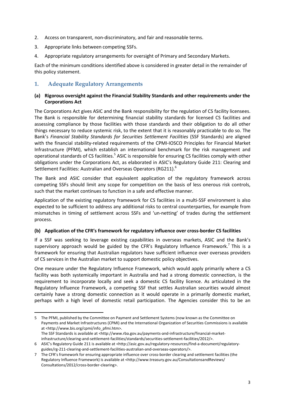- 2. Access on transparent, non-discriminatory, and fair and reasonable terms.
- 3. Appropriate links between competing SSFs.
- 4. Appropriate regulatory arrangements for oversight of Primary and Secondary Markets.

Each of the minimum conditions identified above is considered in greater detail in the remainder of this policy statement.

#### **1. Adequate Regulatory Arrangements**

#### **(a) Rigorous oversight against the Financial Stability Standards and other requirements under the Corporations Act**

The Corporations Act gives ASIC and the Bank responsibility for the regulation of CS facility licensees. The Bank is responsible for determining financial stability standards for licensed CS facilities and assessing compliance by those facilities with those standards and their obligation to do all other things necessary to reduce systemic risk, to the extent that it is reasonably practicable to do so. The Bank's *Financial Stability Standards for Securities Settlement Facilities* (SSF Standards) are aligned with the financial stability-related requirements of the CPMI-IOSCO Principles for Financial Market Infrastructure (PFMI), which establish an international benchmark for the risk management and operational standards of CS facilities.<sup>5</sup> ASIC is responsible for ensuring CS facilities comply with other obligations under the Corporations Act, as elaborated in ASIC's Regulatory Guide 211: Clearing and Settlement Facilities: Australian and Overseas Operators (RG211).<sup>6</sup>

The Bank and ASIC consider that equivalent application of the regulatory framework across competing SSFs should limit any scope for competition on the basis of less onerous risk controls, such that the market continues to function in a safe and effective manner.

Application of the existing regulatory framework for CS facilities in a multi-SSF environment is also expected to be sufficient to address any additional risks to central counterparties, for example from mismatches in timing of settlement across SSFs and 'un-netting' of trades during the settlement process.

#### **(b) Application of the CFR's framework for regulatory influence over cross-border CS facilities**

If a SSF was seeking to leverage existing capabilities in overseas markets, ASIC and the Bank's supervisory approach would be guided by the CFR's Regulatory Influence Framework.<sup>7</sup> This is a framework for ensuring that Australian regulators have sufficient influence over overseas providers of CS services in the Australian market to support domestic policy objectives.

One measure under the Regulatory Influence Framework, which would apply primarily where a CS facility was both systemically important in Australia and had a strong domestic connection, is the requirement to incorporate locally and seek a domestic CS facility licence. As articulated in the Regulatory Influence Framework, a competing SSF that settles Australian securities would almost certainly have a strong domestic connection as it would operate in a primarily domestic market, perhaps with a high level of domestic retail participation. The Agencies consider this to be an

**.** 

<sup>5</sup> The PFMI, published by the Committee on Payment and Settlement Systems (now known as the Committee on Payments and Market Infrastructures (CPMI) and the International Organization of Securities Commissions is available at [<http://www.bis.org/cpmi/info\\_pfmi.htm>](http://www.bis.org/cpmi/info_pfmi.htm). The SSF Standards is available at <http://www.rba.gov.au/payments-and-infrastructure/financial-market-

infrastructure/clearing-and-settlement-facilities/standards/securities-settlement-facilities/2012/>.

<sup>6</sup> ASIC's Regulatory Guide 211 is available at <http://asic.gov.au/regulatory-resources/find-a-document/regulatoryguides/rg-211-clearing-and-settlement-facilities-australian-and-overseas-operators/>.

<sup>7</sup> The CFR's framework for ensuring appropriate influence over cross-border clearing and settlement facilities (the Regulatory Influence Framework) is available at <http://www.treasury.gov.au/ConsultationsandReviews/ Consultations/2012/cross-border-clearing>.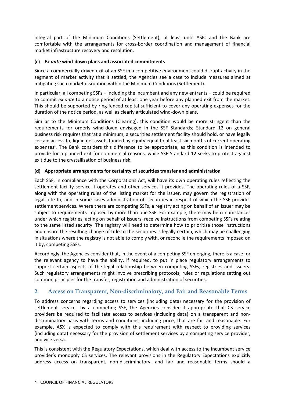integral part of the Minimum Conditions (Settlement), at least until ASIC and the Bank are comfortable with the arrangements for cross-border coordination and management of financial market infrastructure recovery and resolution.

#### **(с)** *Ex ante* **wind-down plans and associated commitments**

Since a commercially driven exit of an SSF in a competitive environment could disrupt activity in the segment of market activity that it settled, the Agencies see a case to include measures aimed at mitigating such market disruption within the Minimum Conditions (Settlement).

In particular, all competing SSFs – including the incumbent and any new entrants – could be required to commit *ex ante* to a notice period of at least one year before any planned exit from the market. This should be supported by ring-fenced capital sufficient to cover any operating expenses for the duration of the notice period, as well as clearly articulated wind-down plans.

Similar to the Minimum Conditions (Clearing), this condition would be more stringent than the requirements for orderly wind-down envisaged in the SSF Standards; Standard 12 on general business risk requires that 'at a minimum, a securities settlement facility should hold, or have legally certain access to, liquid net assets funded by equity equal to at least six months of current operating expenses'. The Bank considers this difference to be appropriate, as this condition is intended to provide for a planned exit for commercial reasons, while SSF Standard 12 seeks to protect against exit due to the crystallisation of business risk.

#### **(d) Appropriate arrangements for certainty of securities transfer and administration**

Each SSF, in compliance with the Corporations Act, will have its own operating rules reflecting the settlement facility service it operates and other services it provides. The operating rules of a SSF, along with the operating rules of the listing market for the issuer, may govern the registration of legal title to, and in some cases administration of, securities in respect of which the SSF provides settlement services. Where there are competing SSFs, a registry acting on behalf of an issuer may be subject to requirements imposed by more than one SSF. For example, there may be circumstances under which registries, acting on behalf of issuers, receive instructions from competing SSFs relating to the same listed security. The registry will need to determine how to prioritise those instructions and ensure the resulting change of title to the securities is legally certain, which may be challenging in situations where the registry is not able to comply with, or reconcile the requirements imposed on it by, competing SSFs.

Accordingly, the Agencies consider that, in the event of a competing SSF emerging, there is a case for the relevant agency to have the ability, if required, to put in place regulatory arrangements to support certain aspects of the legal relationship between competing SSFs, registries and issuers. Such regulatory arrangements might involve prescribing protocols, rules or regulations setting out common principles for the transfer, registration and administration of securities.

## **2. Access on Transparent, Non-discriminatory, and Fair and Reasonable Terms**

To address concerns regarding access to services (including data) necessary for the provision of settlement services by a competing SSF, the Agencies consider it appropriate that CS service providers be required to facilitate access to services (including data) on a transparent and nondiscriminatory basis with terms and conditions, including price, that are fair and reasonable. For example, ASX is expected to comply with this requirement with respect to providing services (including data) necessary for the provision of settlement services by a competing service provider, and vice versa.

This is consistent with the Regulatory Expectations, which deal with access to the incumbent service provider's monopoly CS services. The relevant provisions in the Regulatory Expectations explicitly address access on transparent, non-discriminatory, and fair and reasonable terms should a